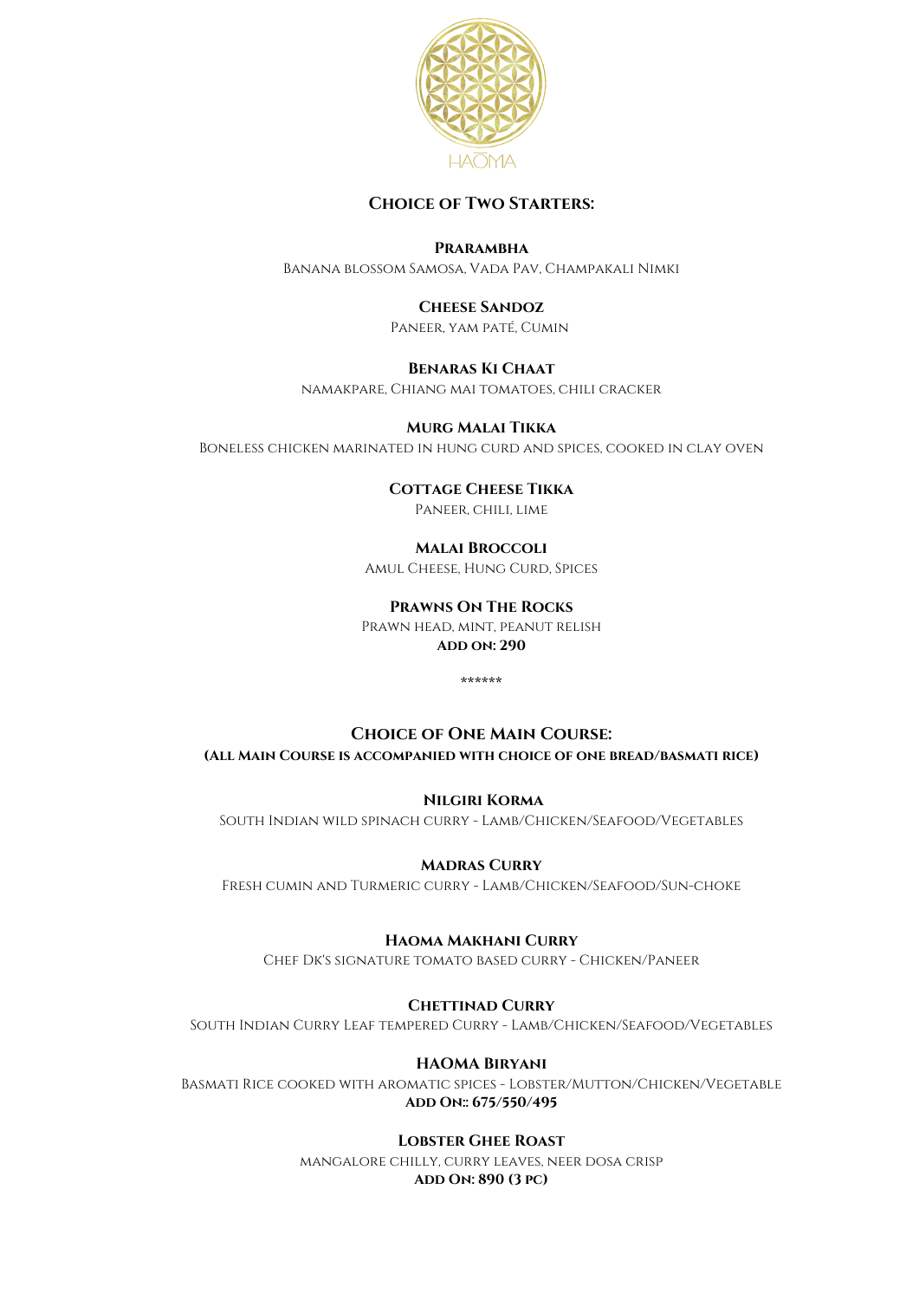

# **Choice of Two Starters:**

#### **Prarambha**

Banana blossom Samosa, Vada Pav, Champakali Nimki

## **Cheese Sandoz**

Paneer, yam paté, Cumin

### **Benaras Ki Chaat**

namakpare, Chiang mai tomatoes, chili cracker

### **Murg Malai Tikka**

Boneless chicken marinated in hung curd and spices, cooked in clay oven

## **Cottage Cheese Tikka**

Paneer, chili, lime

# **Malai Broccoli**

Amul Cheese, Hung Curd, Spices

## **Prawns On The Rocks**

Prawn head, mint, peanut relish **Add on: 290**

\*\*\*\*\*\*

# **Choice of One Main Course: (All Main Course is accompanied with choice of one bread/basmati rice)**

**Nilgiri Korma**

South Indian wild spinach curry - Lamb/Chicken/Seafood/Vegetables

### **Madras Curry**

Fresh cumin and Turmeric curry - Lamb/Chicken/Seafood/Sun-choke

### **Haoma Makhani Curry**

Chef Dk's signature tomato based curry - Chicken/Paneer

### **Chettinad Curry**

South Indian Curry Leaf tempered Curry - Lamb/Chicken/Seafood/Vegetables

### **HAOMA Biryani**

Basmati Rice cooked with aromatic spices - Lobster/Mutton/Chicken/Vegetable **Add On:: 675/550/495**

### **Lobster Ghee Roast**

mangalore chilly, curry leaves, neer dosa crisp **Add On: 890 (3 pc)**